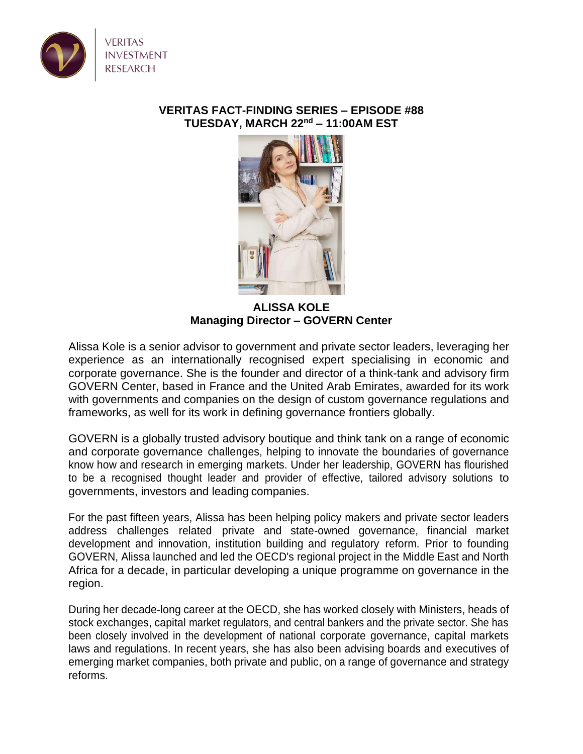

## **VERITAS FACT-FINDING SERIES – EPISODE #88 TUESDAY, MARCH 22nd – 11:00AM EST**



**ALISSA KOLE Managing Director – GOVERN Center**

Alissa Kole is a senior advisor to government and private sector leaders, leveraging her experience as an internationally recognised expert specialising in economic and corporate governance. She is the founder and director of a think-tank and advisory firm GOVERN Center, based in France and the United Arab Emirates, awarded for its work with governments and companies on the design of custom governance regulations and frameworks, as well for its work in defining governance frontiers globally.

GOVERN is a globally trusted advisory boutique and think tank on a range of economic and corporate governance challenges, helping to innovate the boundaries of governance know how and research in emerging markets. Under her leadership, GOVERN has flourished to be a recognised thought leader and provider of effective, tailored advisory solutions to governments, investors and leading companies.

For the past fifteen years, Alissa has been helping policy makers and private sector leaders address challenges related private and state-owned governance, financial market development and innovation, institution building and regulatory reform. Prior to founding GOVERN, Alissa launched and led the OECD's regional project in the Middle East and North Africa for a decade, in particular developing a unique programme on governance in the region.

During her decade-long career at the OECD, she has worked closely with Ministers, heads of stock exchanges, capital market regulators, and central bankers and the private sector. She has been closely involved in the development of national corporate governance, capital markets laws and regulations. In recent years, she has also been advising boards and executives of emerging market companies, both private and public, on a range of governance and strategy reforms.